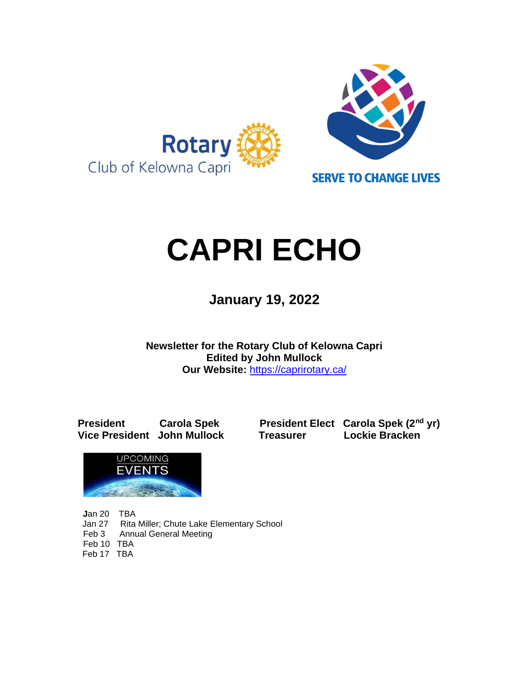

# **CAPRI ECHO**

 **January 19, <sup>2022</sup>**

**Newsletter for the Rotary Club of Kelowna Capri Edited by John Mullock Our Website:** <https://caprirotary.ca/>

**President Carola Spek President Elect Carola Spek (2nd yr) Vice President John Mullock Treasurer Lockie Bracken**



**J**an 20 TBA Jan 27 Rita Miller; Chute Lake Elementary School Feb 3 Annual General Meeting Feb 10 TBA Feb 17 TBA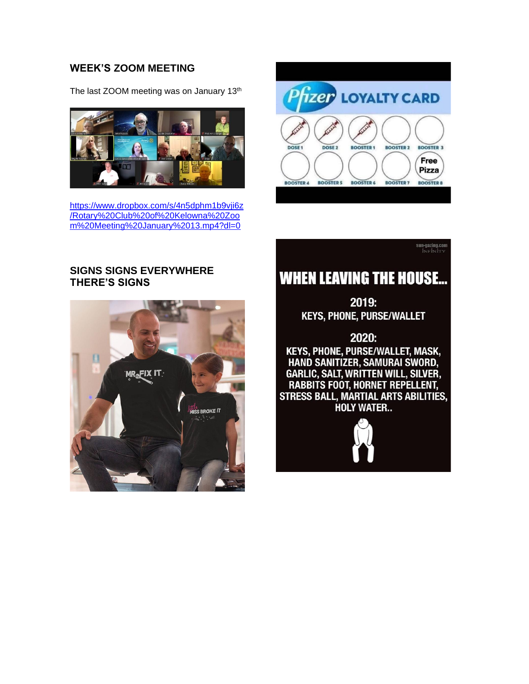#### **WEEK'S ZOOM MEETING**

The last ZOOM meeting was on January 13<sup>th</sup>



[https://www.dropbox.com/s/4n5dphm1b9vji6z](https://www.dropbox.com/s/4n5dphm1b9vji6z/Rotary%20Club%20of%20Kelowna%20Zoom%20Meeting%20January%2013.mp4?dl=0) [/Rotary%20Club%20of%20Kelowna%20Zoo](https://www.dropbox.com/s/4n5dphm1b9vji6z/Rotary%20Club%20of%20Kelowna%20Zoom%20Meeting%20January%2013.mp4?dl=0) [m%20Meeting%20January%2013.mp4?dl=0](https://www.dropbox.com/s/4n5dphm1b9vji6z/Rotary%20Club%20of%20Kelowna%20Zoom%20Meeting%20January%2013.mp4?dl=0)



**sun-gazing.com**<br>INF IN ITY

#### **SIGNS SIGNS EVERYWHERE THERE'S SIGNS**



## **WHEN LEAVING THE HOUSE...**

2019: **KEYS, PHONE, PURSE/WALLET** 

2020: KEYS, PHONE, PURSE/WALLET, MASK, HAND SANITIZER, SAMURAI SWORD, GARLIC, SALT, WRITTEN WILL, SILVER, **RABBITS FOOT, HORNET REPELLENT, STRESS BALL, MARTIAL ARTS ABILITIES, HOLY WATER...** 

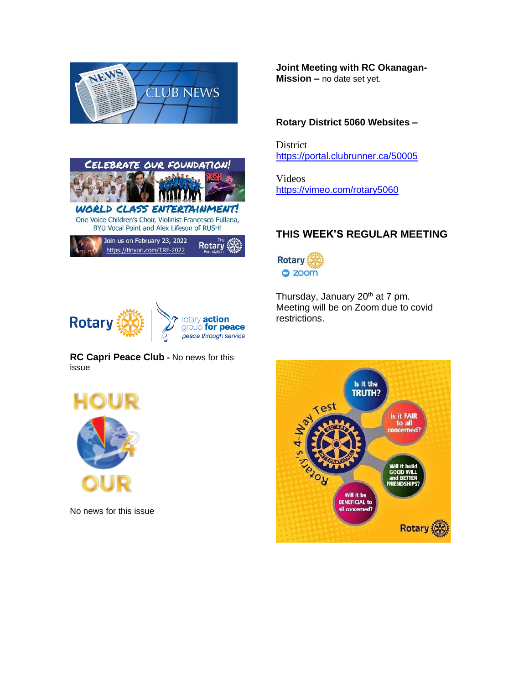



Join us on February 23, 2022 **Rotary** https://tinyurl.com/TRF-2022

**Joint Meeting with RC Okanagan-Mission –** no date set yet.

#### **Rotary District 5060 Websites –**

District <https://portal.clubrunner.ca/50005>

Videos <https://vimeo.com/rotary5060>

#### **THIS WEEK'S REGULAR MEETING**



Thursday, January 20<sup>th</sup> at 7 pm. Meeting will be on Zoom due to covid restrictions.



**RC Capri Peace Club -** No news for this issue



No news for this issue

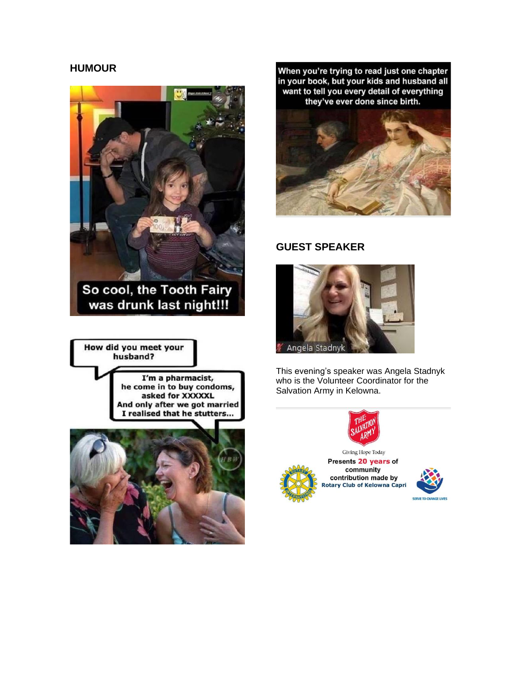#### **HUMOUR**



So cool, the Tooth Fairy was drunk last night!!!

How did you meet your husband?

> I'm a pharmacist, he come in to buy condoms, asked for XXXXXL And only after we got married I realised that he stutters...



When you're trying to read just one chapter in your book, but your kids and husband all want to tell you every detail of everything they've ever done since birth.



#### **GUEST SPEAKER**



This evening's speaker was Angela Stadnyk who is the Volunteer Coordinator for the Salvation Army in Kelowna.





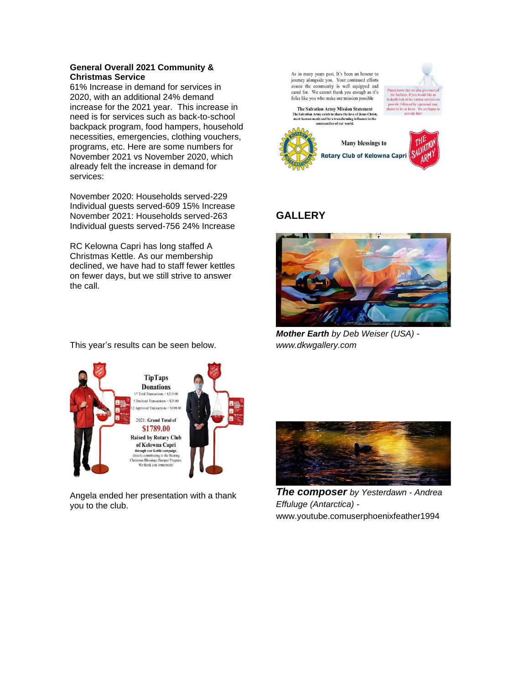#### **General Overall 2021 Community & Christmas Service**

61% Increase in demand for services in 2020, with an additional 24% demand increase for the 2021 year. This increase in need is for services such as back-to-school backpack program, food hampers, household necessities, emergencies, clothing vouchers, programs, etc. Here are some numbers for November 2021 vs November 2020, which already felt the increase in demand for services:

November 2020: Households served-229 Individual guests served-609 15% Increase November 2021: Households served-263 Individual guests served-756 24% Increase

RC Kelowna Capri has long staffed A Christmas Kettle. As our membership declined, we have had to staff fewer kettles on fewer days, but we still strive to answer the call.

This year's results can be seen below.

As in many years past, It's been an honour to journey alongside you. Your continued efforts assure the community is well equipped and cared for. We cannot thank you enough as it's the facilities. If you would like an<br>in-depth look at the various services w folks like you who make our mission possible tide followed by a r The Salvation Army Mission Statement<br>The Salvation Army exists to share the love of Jesus Christ,<br>meet human needs and be a transforming influence in the<br>communities of our world. a do lot un los Many blessings to **Rotary Club of Kelowna Capri** 

### **GALLERY**



*Mother Earth by Deb Weiser (USA) www.dkwgallery.com*

**TipTaps Donations** 17 Total Tr  $=$  \$21.5 00 5 Declined Transactions = \$25.00 Approved Transactions = \$190.00 2021: Grand Total of \$1789.00 **Raised by Rotary Club** of Kelowna Capri **CONTROLLATE CAPT**<br>through our Kettle campaign,<br>rectly contributing to the Sharin<br>istmas Blessings Hamper Progr.<br>We thank you immensely!

Angela ended her presentation with a thank you to the club.



*The composer by Yesterdawn - Andrea Effuluge (Antarctica)*  www.youtube.comuserphoenixfeather1994